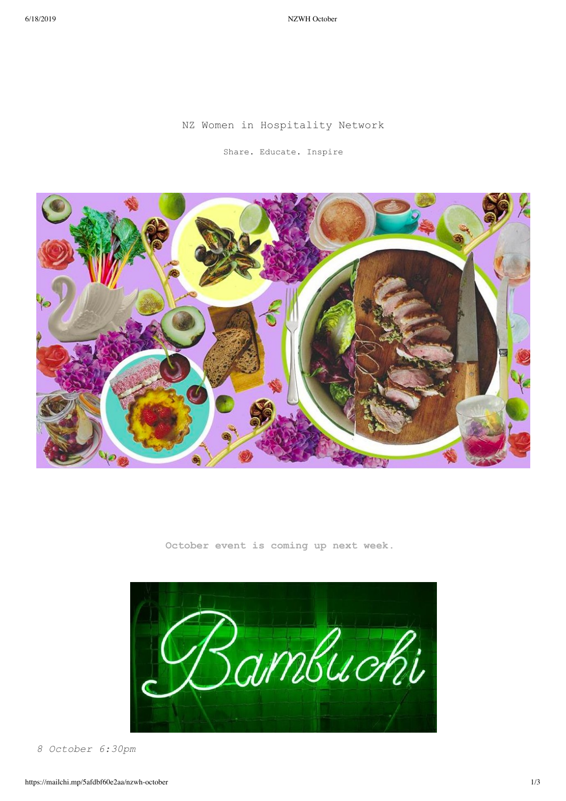6/18/2019 NZWH October

# NZ Women in Hospitality Network

Share. Educate. Inspire



**October event is coming up next week.** 

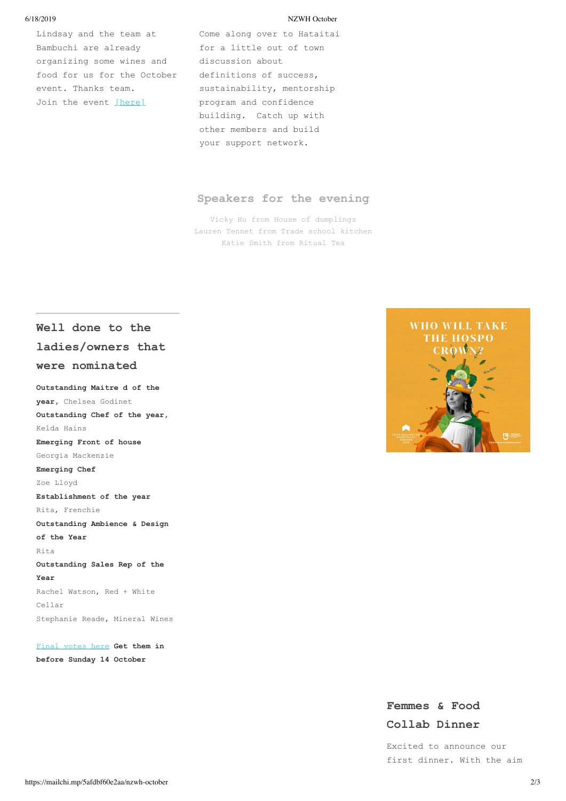Lindsay and the team at Bambuchi are already organizing some wines and food for us for the October event. Thanks team. Join the event [here]

#### 6/18/2019 NZWH October

Come along over to Hataitai for a little out of town discussion about definitions of success, sustainability, mentorship program and confidence building. Catch up with other members and build your support network.

## **Speakers for the evening**

Vicky Hu from House of dumplings Lauren Tennet from Trade school kitchen Katie Smith from Ritual Tea

**Well done to the ladies/owners that were nominated Outstanding Maitre d of the year,** Chelsea Godinet **Outstanding Chef of the year,** Kelda Hains **Emerging Front of house** Georgia Mackenzie **Emerging Chef** Zoe Lloyd **Establishment of the year** Rita, Frenchie **Outstanding Ambience & Design of the Year** Rita **Outstanding Sales Rep of the Year** Rachel Watson, Red + White Cellar Stephanie Reade, Mineral Wines

Final votes here **Get them in before Sunday 14 October**



# **Femmes & Food Collab Dinner**

Excited to announce our first dinner. With the aim